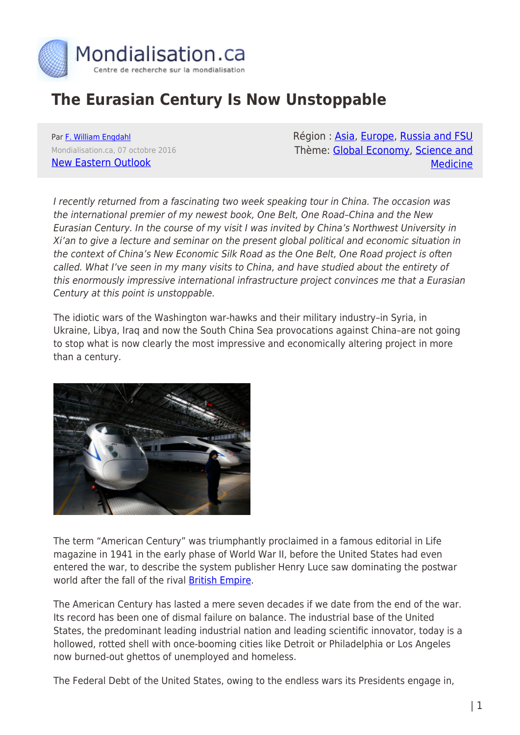

## **The Eurasian Century Is Now Unstoppable**

Par [F. William Engdahl](https://www.mondialisation.ca/author/f-william-engdahl) Mondialisation.ca, 07 octobre 2016 [New Eastern Outlook](http://journal-neo.org/2016/10/04/the-eurasian-century-is-now-unstoppable-2/)

Région: [Asia](https://www.mondialisation.ca/region/asia), [Europe](https://www.mondialisation.ca/region/europe), [Russia and FSU](https://www.mondialisation.ca/region/russia-and-fsu) Thème: [Global Economy](https://www.mondialisation.ca/theme/global-economy), [Science and](https://www.mondialisation.ca/theme/science-and-medicine) [Medicine](https://www.mondialisation.ca/theme/science-and-medicine)

I recently returned from a fascinating two week speaking tour in China. The occasion was the international premier of my newest book, One Belt, One Road–China and the New Eurasian Century. In the course of my visit I was invited by China's Northwest University in Xi'an to give a lecture and seminar on the present global political and economic situation in the context of China's New Economic Silk Road as the One Belt, One Road project is often called. What I've seen in my many visits to China, and have studied about the entirety of this enormously impressive international infrastructure project convinces me that a Eurasian Century at this point is unstoppable.

The idiotic wars of the Washington war-hawks and their military industry–in Syria, in Ukraine, Libya, Iraq and now the South China Sea provocations against China–are not going to stop what is now clearly the most impressive and economically altering project in more than a century.



The term "American Century" was triumphantly proclaimed in a famous editorial in Life magazine in 1941 in the early phase of World War II, before the United States had even entered the war, to describe the system publisher Henry Luce saw dominating the postwar world after the fall of the rival [British Empire.](http://www-personal.umich.edu/%7Emlassite/discussions261/luce.pdf)

The American Century has lasted a mere seven decades if we date from the end of the war. Its record has been one of dismal failure on balance. The industrial base of the United States, the predominant leading industrial nation and leading scientific innovator, today is a hollowed, rotted shell with once-booming cities like Detroit or Philadelphia or Los Angeles now burned-out ghettos of unemployed and homeless.

The Federal Debt of the United States, owing to the endless wars its Presidents engage in,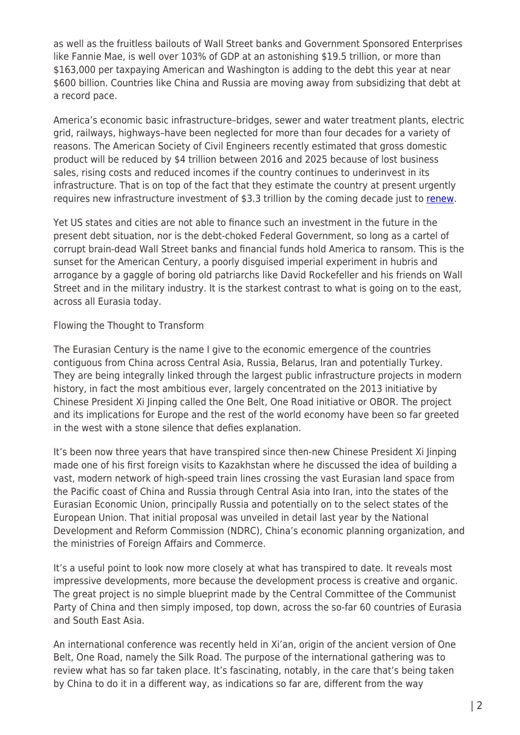as well as the fruitless bailouts of Wall Street banks and Government Sponsored Enterprises like Fannie Mae, is well over 103% of GDP at an astonishing \$19.5 trillion, or more than \$163,000 per taxpaying American and Washington is adding to the debt this year at near \$600 billion. Countries like China and Russia are moving away from subsidizing that debt at a record pace.

America's economic basic infrastructure–bridges, sewer and water treatment plants, electric grid, railways, highways–have been neglected for more than four decades for a variety of reasons. The American Society of Civil Engineers recently estimated that gross domestic product will be reduced by \$4 trillion between 2016 and 2025 because of lost business sales, rising costs and reduced incomes if the country continues to underinvest in its infrastructure. That is on top of the fact that they estimate the country at present urgently requires new infrastructure investment of \$3.3 trillion by the coming decade just to [renew.](https://www.ft.com/content/6aa759f8-16c0-11e6-b197-a4af20d5575e)

Yet US states and cities are not able to finance such an investment in the future in the present debt situation, nor is the debt-choked Federal Government, so long as a cartel of corrupt brain-dead Wall Street banks and financial funds hold America to ransom. This is the sunset for the American Century, a poorly disguised imperial experiment in hubris and arrogance by a gaggle of boring old patriarchs like David Rockefeller and his friends on Wall Street and in the military industry. It is the starkest contrast to what is going on to the east, across all Eurasia today.

Flowing the Thought to Transform

The Eurasian Century is the name I give to the economic emergence of the countries contiguous from China across Central Asia, Russia, Belarus, Iran and potentially Turkey. They are being integrally linked through the largest public infrastructure projects in modern history, in fact the most ambitious ever, largely concentrated on the 2013 initiative by Chinese President Xi Jinping called the One Belt, One Road initiative or OBOR. The project and its implications for Europe and the rest of the world economy have been so far greeted in the west with a stone silence that defies explanation.

It's been now three years that have transpired since then-new Chinese President Xi Jinping made one of his first foreign visits to Kazakhstan where he discussed the idea of building a vast, modern network of high-speed train lines crossing the vast Eurasian land space from the Pacific coast of China and Russia through Central Asia into Iran, into the states of the Eurasian Economic Union, principally Russia and potentially on to the select states of the European Union. That initial proposal was unveiled in detail last year by the National Development and Reform Commission (NDRC), China's economic planning organization, and the ministries of Foreign Affairs and Commerce.

It's a useful point to look now more closely at what has transpired to date. It reveals most impressive developments, more because the development process is creative and organic. The great project is no simple blueprint made by the Central Committee of the Communist Party of China and then simply imposed, top down, across the so-far 60 countries of Eurasia and South East Asia.

An international conference was recently held in Xi'an, origin of the ancient version of One Belt, One Road, namely the Silk Road. The purpose of the international gathering was to review what has so far taken place. It's fascinating, notably, in the care that's being taken by China to do it in a different way, as indications so far are, different from the way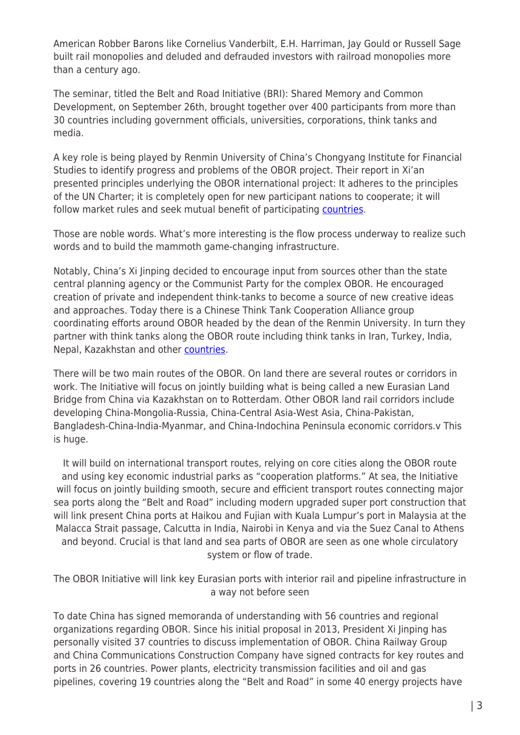American Robber Barons like Cornelius Vanderbilt, E.H. Harriman, Jay Gould or Russell Sage built rail monopolies and deluded and defrauded investors with railroad monopolies more than a century ago.

The seminar, titled the Belt and Road Initiative (BRI): Shared Memory and Common Development, on September 26th, brought together over 400 participants from more than 30 countries including government officials, universities, corporations, think tanks and media.

A key role is being played by Renmin University of China's Chongyang Institute for Financial Studies to identify progress and problems of the OBOR project. Their report in Xi'an presented principles underlying the OBOR international project: It adheres to the principles of the UN Charter; it is completely open for new participant nations to cooperate; it will follow market rules and seek mutual benefit of participating **countries**.

Those are noble words. What's more interesting is the flow process underway to realize such words and to build the mammoth game-changing infrastructure.

Notably, China's Xi Jinping decided to encourage input from sources other than the state central planning agency or the Communist Party for the complex OBOR. He encouraged creation of private and independent think-tanks to become a source of new creative ideas and approaches. Today there is a Chinese Think Tank Cooperation Alliance group coordinating efforts around OBOR headed by the dean of the Renmin University. In turn they partner with think tanks along the OBOR route including think tanks in Iran, Turkey, India, Nepal, Kazakhstan and other [countries](http://www.chinadaily.com.cn/opinion/2016-09/26/content_26901304.htm).

There will be two main routes of the OBOR. On land there are several routes or corridors in work. The Initiative will focus on jointly building what is being called a new Eurasian Land Bridge from China via Kazakhstan on to Rotterdam. Other OBOR land rail corridors include developing China-Mongolia-Russia, China-Central Asia-West Asia, China-Pakistan, Bangladesh-China-India-Myanmar, and China-Indochina Peninsula economic corridors.v This is huge.

It will build on international transport routes, relying on core cities along the OBOR route and using key economic industrial parks as "cooperation platforms." At sea, the Initiative will focus on jointly building smooth, secure and efficient transport routes connecting major sea ports along the "Belt and Road" including modern upgraded super port construction that will link present China ports at Haikou and Fujian with Kuala Lumpur's port in Malaysia at the Malacca Strait passage, Calcutta in India, Nairobi in Kenya and via the Suez Canal to Athens and beyond. Crucial is that land and sea parts of OBOR are seen as one whole circulatory system or flow of trade.

The OBOR Initiative will link key Eurasian ports with interior rail and pipeline infrastructure in a way not before seen

To date China has signed memoranda of understanding with 56 countries and regional organizations regarding OBOR. Since his initial proposal in 2013, President Xi Jinping has personally visited 37 countries to discuss implementation of OBOR. China Railway Group and China Communications Construction Company have signed contracts for key routes and ports in 26 countries. Power plants, electricity transmission facilities and oil and gas pipelines, covering 19 countries along the "Belt and Road" in some 40 energy projects have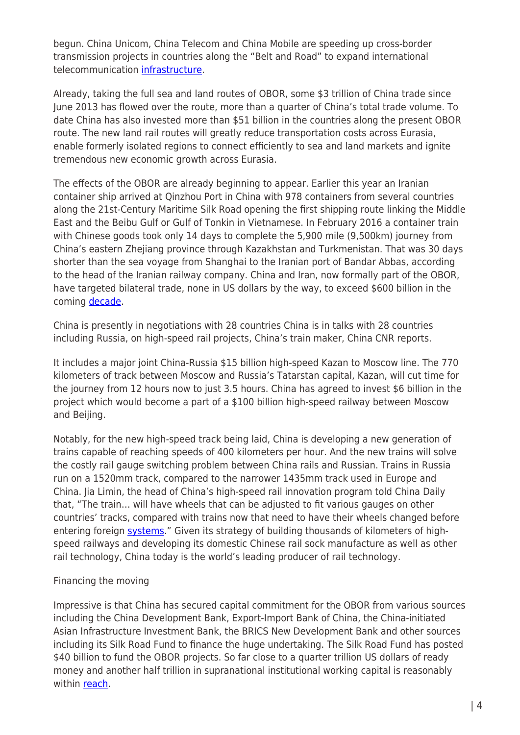begun. China Unicom, China Telecom and China Mobile are speeding up cross-border transmission projects in countries along the "Belt and Road" to expand international telecommunication [infrastructure](http://www.chinadaily.com.cn/opinion/2016-09/26/content_26901304.htm).

Already, taking the full sea and land routes of OBOR, some \$3 trillion of China trade since June 2013 has flowed over the route, more than a quarter of China's total trade volume. To date China has also invested more than \$51 billion in the countries along the present OBOR route. The new land rail routes will greatly reduce transportation costs across Eurasia, enable formerly isolated regions to connect efficiently to sea and land markets and ignite tremendous new economic growth across Eurasia.

The effects of the OBOR are already beginning to appear. Earlier this year an Iranian container ship arrived at Qinzhou Port in China with 978 containers from several countries along the 21st-Century Maritime Silk Road opening the first shipping route linking the Middle East and the Beibu Gulf or Gulf of Tonkin in Vietnamese. In February 2016 a container train with Chinese goods took only 14 days to complete the 5,900 mile (9,500km) journey from China's eastern Zhejiang province through Kazakhstan and Turkmenistan. That was 30 days shorter than the sea voyage from Shanghai to the Iranian port of Bandar Abbas, according to the head of the Iranian railway company. China and Iran, now formally part of the OBOR, have targeted bilateral trade, none in US dollars by the way, to exceed \$600 billion in the coming [decade.](https://www.rt.com/business/332631-china-iran-train-arrives/)

China is presently in negotiations with 28 countries China is in talks with 28 countries including Russia, on high-speed rail projects, China's train maker, China CNR reports.

It includes a major joint China-Russia \$15 billion high-speed Kazan to Moscow line. The 770 kilometers of track between Moscow and Russia's Tatarstan capital, Kazan, will cut time for the journey from 12 hours now to just 3.5 hours. China has agreed to invest \$6 billion in the project which would become a part of a \$100 billion high-speed railway between Moscow and Beijing.

Notably, for the new high-speed track being laid, China is developing a new generation of trains capable of reaching speeds of 400 kilometers per hour. And the new trains will solve the costly rail gauge switching problem between China rails and Russian. Trains in Russia run on a 1520mm track, compared to the narrower 1435mm track used in Europe and China. Jia Limin, the head of China's high-speed rail innovation program told China Daily that, "The train… will have wheels that can be adjusted to fit various gauges on other countries' tracks, compared with trains now that need to have their wheels changed before entering foreign [systems](http://www.construction-post.com/china-build-400kmh-train-russias-high-speed-railway/)." Given its strategy of building thousands of kilometers of highspeed railways and developing its domestic Chinese rail sock manufacture as well as other rail technology, China today is the world's leading producer of rail technology.

## Financing the moving

Impressive is that China has secured capital commitment for the OBOR from various sources including the China Development Bank, Export-Import Bank of China, the China-initiated Asian Infrastructure Investment Bank, the BRICS New Development Bank and other sources including its Silk Road Fund to finance the huge undertaking. The Silk Road Fund has posted \$40 billion to fund the OBOR projects. So far close to a quarter trillion US dollars of ready money and another half trillion in supranational institutional working capital is reasonably within [reach.](http://www.timesca.com/index.php/news/26-opinion-head/17131-railway-trans-eurasia-corridor-part-1)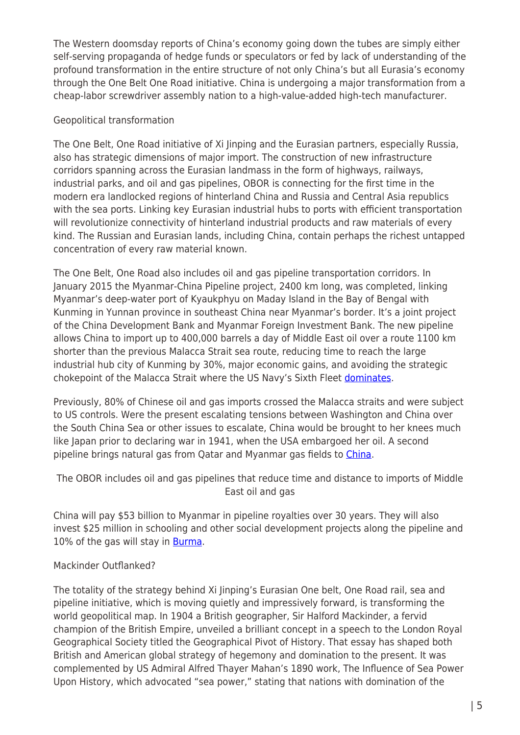The Western doomsday reports of China's economy going down the tubes are simply either self-serving propaganda of hedge funds or speculators or fed by lack of understanding of the profound transformation in the entire structure of not only China's but all Eurasia's economy through the One Belt One Road initiative. China is undergoing a major transformation from a cheap-labor screwdriver assembly nation to a high-value-added high-tech manufacturer.

## Geopolitical transformation

The One Belt, One Road initiative of Xi Jinping and the Eurasian partners, especially Russia, also has strategic dimensions of major import. The construction of new infrastructure corridors spanning across the Eurasian landmass in the form of highways, railways, industrial parks, and oil and gas pipelines, OBOR is connecting for the first time in the modern era landlocked regions of hinterland China and Russia and Central Asia republics with the sea ports. Linking key Eurasian industrial hubs to ports with efficient transportation will revolutionize connectivity of hinterland industrial products and raw materials of every kind. The Russian and Eurasian lands, including China, contain perhaps the richest untapped concentration of every raw material known.

The One Belt, One Road also includes oil and gas pipeline transportation corridors. In January 2015 the Myanmar-China Pipeline project, 2400 km long, was completed, linking Myanmar's deep-water port of Kyaukphyu on Maday Island in the Bay of Bengal with Kunming in Yunnan province in southeast China near Myanmar's border. It's a joint project of the China Development Bank and Myanmar Foreign Investment Bank. The new pipeline allows China to import up to 400,000 barrels a day of Middle East oil over a route 1100 km shorter than the previous Malacca Strait sea route, reducing time to reach the large industrial hub city of Kunming by 30%, major economic gains, and avoiding the strategic chokepoint of the Malacca Strait where the US Navy's Sixth Fleet [dominates.](http://www.forbes.com/sites/ericrmeyer/2015/02/09/oil-and-gas-china-takes-a-shortcut/#317282262d40)

Previously, 80% of Chinese oil and gas imports crossed the Malacca straits and were subject to US controls. Were the present escalating tensions between Washington and China over the South China Sea or other issues to escalate, China would be brought to her knees much like Japan prior to declaring war in 1941, when the USA embargoed her oil. A second pipeline brings natural gas from Qatar and Myanmar gas fields to [China](http://www.forbes.com/sites/ericrmeyer/2015/02/09/oil-and-gas-china-takes-a-shortcut/#317282262d40).

The OBOR includes oil and gas pipelines that reduce time and distance to imports of Middle East oil and gas

China will pay \$53 billion to Myanmar in pipeline royalties over 30 years. They will also invest \$25 million in schooling and other social development projects along the pipeline and 10% of the gas will stay in **[Burma](http://www.forbes.com/sites/ericrmeyer/2015/02/09/oil-and-gas-china-takes-a-shortcut/#317282262d40)**.

## Mackinder Outflanked?

The totality of the strategy behind Xi Jinping's Eurasian One belt, One Road rail, sea and pipeline initiative, which is moving quietly and impressively forward, is transforming the world geopolitical map. In 1904 a British geographer, Sir Halford Mackinder, a fervid champion of the British Empire, unveiled a brilliant concept in a speech to the London Royal Geographical Society titled the Geographical Pivot of History. That essay has shaped both British and American global strategy of hegemony and domination to the present. It was complemented by US Admiral Alfred Thayer Mahan's 1890 work, The Influence of Sea Power Upon History, which advocated "sea power," stating that nations with domination of the